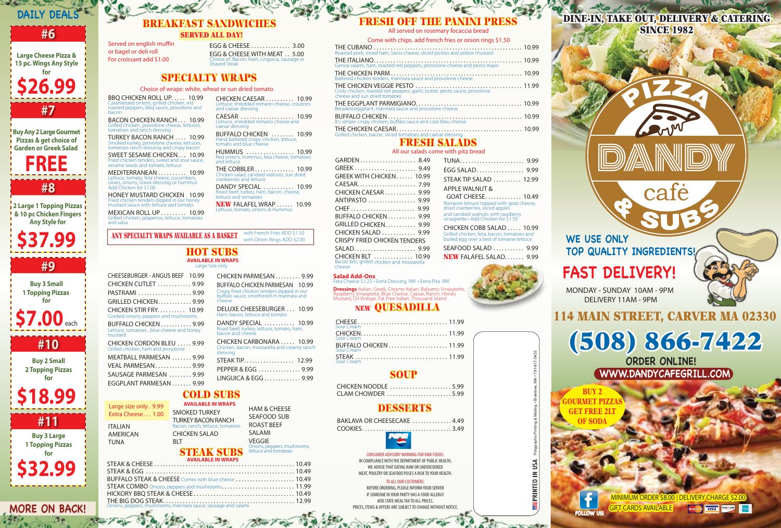

BAKLAVA OR CHEESECAKE .............. 4.49 COOKIES. . . . . . . . . . . . . . . . . . . . . . . . . . . . . . . . 3.49



| BUFFALO STEAK & CHEESE Comes with blue cheese  10.49 |  |
|------------------------------------------------------|--|
|                                                      |  |
|                                                      |  |
|                                                      |  |
|                                                      |  |

BBQ CHICKEN ROLL UP..... 10.99 Caramelized onions, grilled chicken, red roasted peppers, bbq sauce, provolone and bacon

BACON CHICKEN RANCH . . . 10.99 Grilled chicken, provolone cheese, lettuces, tomatoes and ranch dressing

# DESSERTS

TURKEY BACON RANCH . . . . 10.99 Smoked turkey, provolone cheese, lettuces, tomatoes ranch dressing and crispy bacon

MEDITERRANEAN . . . . . . . . . . 10.99 Lettuce, tomato, feta cheese, cucumbers, olives, onions, Greek dressing or hummus Add Chicken for \$1.00

SWEET SESAME CHICKEN. . . 10.99 Fried chicken tenders, sweet and sour sauce, sesame seeds and tomato, lettuce

Served on english muffin or bagel or deli roll For croissant add \$1.00

HONEY MUSTARD CHICKEN 10.99 Fried chicken tenders dipped in our honey mustard sauce with lettuce and tomato

CHEESEBURGER - ANGUS BEEF 10.99 CHICKEN CUTLET . . . . . . . . . . . . 9.99 PASTRAMI . . . . . . . . . . . . . . . . . . 9.99 GRILLED CHICKEN. . . . . . . . . . . . 9.99 CHICKEN STIR FRY. . . . . . . . . . 10.99 Cooked onions, peppers and mushrooms BUFFALO CHICKEN . . . . . . . . . . . 9.99 Lettuce, tomatoes , blue cheese and honey mustard CHICKEN CORDON BLEU ..... 9.99 Grilled chicken, ham and provolone MEATBALL PARMESAN ...... 9.99 VEAL PARMESAN. . . . . . . . . . . . . 9.99 SAUSAGE PARMESAN ........ 9.99 EGGPLANT PARMESAN . . . . . . . 9.99

MEXICAN ROLL UP . . . . . . . . . 10.99 Grilled chicken, jalapenos, lettuce, tomatoes and salsa

EGG & CHEESE . . . . . . . . . . . . . . 3.00 EGG & CHEESE WITH MEAT . . 5.00 Choice of: Bacon, Ham, Linguica, Sausage or Shaved Steak

> TO ALL OUR CUSTOMERS BEFORE ORDERING, PLEASE INFORM YOUR SERVER IF SOMEONE IN YOUR PARTY HAS A FOOD ALLERGY ADD STATE MEAL TAX TO ALL PRICES. PRICES, ITEMS & OFFERS ARE SUBJECT TO CHANGE WITHOUT NOTICE.

MINIMUM ORDER \$8.00 | DELIVERY CHARGE \$2.00 GIFT CARDS AVAILABLE Monter VISA

| Come with chips. add french fries or onion rings \$1.50                                                     |  |
|-------------------------------------------------------------------------------------------------------------|--|
|                                                                                                             |  |
| Genoa salami, ham, roasted red peppers, provolone cheese and pesto mayo                                     |  |
| Battered chicken tenders, marinara sauce and provolone cheese                                               |  |
| Crisly chicken, roasted red peppers, garlic butter, pesto sauce, provolone<br>cheése and sun dried tomatoes |  |
| Breaded eggplant, marinara sauce and provolone cheese                                                       |  |
|                                                                                                             |  |
|                                                                                                             |  |

# **Dressings** Italian, Greek, Creamy Italian, Balsamic Vinaigrette,<br>Raspberry Vinaigrette, Blue Cheese, Caesar, Ranch, Honey<br>Mustard, Oil Vinegar, Fat Free Italian, Thousand Island NEW QUESADILLA CHEESE . . . . . . . . . . . . . . . . . . . . . . . . . . . . . . . . 11.99

CHICKEN CAESAR . . . . . . . . . . 10.99 Lettuce, shredded romano cheese, croutons and caesar dressing CAESAR . . . . . . . . . . . . . . . . . . . 10.99 Lettuce, shredded romano cheese and caesar dressing **BUFFALO CHICKEN** . . . . . . . . . 10.99<br>Hand battered crispy chicken, lettuce,<br>tomato and blue cheese

DANDY SPECIAL ............ 10.99 Roast beef, turkey, ham, bacon, cheese, lettuce and tomatoes

**NEW FALAFEL WRAP ...... 10.99** Lettuce, tomato, onions & Hun

with French Fries ADD \$1.50<br>with Onion Rings ADD \$2.00 ANY SPECIALTY WRAPS AVAILABLE AS A BASKET

**Salad Add-Ons**

Feta Cheese \$1.25 • Extra Dressing .99¢ • Extra Pita .99¢

AMERICAN TUNA

# FRESH SALADS

## FRESH OFF THE PANINI PRESS

## All our salads come with pita bread

# BREAKFAST SANDWICHES SERVED ALL DAY!

# Grilled chicken, feta, bacon, tomatoes and boiled egg over a bed of romaine lettuce SEAFOOD SALAD . . . . . . . . . . . 9.99  $W$  FALAFEL SALAD.  $\ldots$  . . . . . 9.99

DINE-IN, TAKE OUT, DELIVERY & CATERING **SINCE 1982** 

#### Choice of wraps: white, wheat or sun dried tomato

# SPECIALTY WRAPS

#### STEAK & CHEESE . . . . . . . . . . . . . . . . . . . . . . . . . . . . . . . . . . . . . . . . . . . . . . . . . . 10.49 STEAK SUBS **AVAILABLE IN WRAPS**

| GARDEN 8.49                                                            | TUNA 9.99                                                                  |
|------------------------------------------------------------------------|----------------------------------------------------------------------------|
| GREEK 9.49                                                             |                                                                            |
| GREEK WITH CHICKEN 10.99                                               | STEAK TIP SALAD  12.99                                                     |
| CAESAR 7.99                                                            | APPLE WALNUT &                                                             |
| CHICKEN CAESAR  9.99                                                   | GOAT CHEESE 10.49                                                          |
| ANTIPASTO  9.99                                                        | Romaine lettuce topped with goat cheese,                                   |
|                                                                        | dried cranberries, sliced apples                                           |
| BUFFALO CHICKEN 9.99                                                   | and candied walnuts with raspberry<br>vinaigrette • Add Chicken for \$1.50 |
| GRILLED CHICKEN 9.99                                                   | CHICKEN COBB SALAD  10.99                                                  |
| CHICKEN SALAD  9.99                                                    | Grilled chicken, feta, bacon, tomatoes and                                 |
| <b>CRISPY FRIED CHICKEN TENDERS</b>                                    | boiled egg over a bed of romaine lettuce                                   |
| SALAD 9.99                                                             | SEAFOOD SALAD  9.99                                                        |
| <b>CHICKEN BLT</b> 10.99<br>Bacon bits, grilled chicken and mozzarella | NEW FALAFEL SALAD 9.99                                                     |
| cheese                                                                 | <b>Real Property</b>                                                       |

# **WE USE ONLY TOP QUALITY INGREDIENTS!**

cai

# **FAST DELIVERY!**

MONDAY - SUNDAY 10AM - 9PM DELIVERY 11AM - 9PM

# **DAILY DEALS**

# **#6**

**Large Cheese Pizza & 15 pc. Wings Any Style for \$26.99 #7**

**Buy Any 2 Large Gourmet Pizzas & get choice of Garden or Greek Salad** 

**#8**

**2 Large 1 Topping Pizzas & 10 pc Chicken Fingers Any Style for**

**\$37.99**

**#9**

**Buy 3 Small 1 Topping Pizzas for**

**\$7.00** each

# **#10**

**Buy 2 Small 2 Topping Pizzas for**

**\$18.99**

**#11**

**Buy 3 Large 1 Topping Pizzas for**

**\$32.99**

**FREE**

**MORE ON BACK!**

| CHICKEN NOODLE 5.99 |  |
|---------------------|--|
| CLAM CHOWDER 5.99   |  |

# SOUP

#### CONSUMER ADVISORY WARNING FOR RAW FOODS: IN COMPLIANCE WITH THE DEPARTMENT OF PUBLIC HEALTH, WE ADVISE THAT EATING RAW OR UNDERCOOKED

MEAT, POULTRY OR SEAFOOD POSES A RISK TO YOUR HEALTH.

ITALIAN Large size only . 9.99 Extra Cheese... 1.00 SMOKED TURKEY

# (508) 866-7422

# 114 MAIN STREET, CARVER MA 02330

# **ORDER ONLINE! WWW.DANDYCAFEGRILL.COM**

FOLLOW US!

**BUY 2 GOURMET PIZ GET FREE 2LT OF SODA**

All served on rosemary focaccia bread Come with chips. add french fries or onion rings \$1.50

| Sour Cream |  |
|------------|--|
|            |  |
|            |  |
|            |  |
|            |  |
|            |  |

#### HOT SUBS Large Size only **AVAILABLE IN WRAPS**

## COLD SUBS **AVAILABLE IN WRAPS**

HUMMUS . . . . . . . . . . . . . . . . . 10.99 Red onions, hummus, feta cheese, tomatoes and lettuce

THE COBBLER . . . . . . . . . . . . . . 10.99 Chicken salad, candied walnuts, sun dried cranberries and lettuce

CHICKEN PARMESAN . . . . . . . . . 9.99 BUFFALO CHICKEN PARMESAN 10.99 Crispy fried chicken tenders dipped in our bualo sauce, smothered in marinara and



cheese

| DELUXE CHEESEBURGER  10.99<br>Ham, bacon, lettuce and tomato                          |       |
|---------------------------------------------------------------------------------------|-------|
| DANDY SPECIAL  10.99<br>Roast beef, turkey, lettuce, tomato, ham,<br>bacon and cheese |       |
| CHICKEN CARBONARA  10.99<br>Chicken, bacon, mozzarella and creamy ranch<br>dressing   |       |
| STEAK TIP.                                                                            | 12.99 |
| PEPPER & EGG  9.99                                                                    |       |
| LINGUICA & EGG 9.99                                                                   |       |
|                                                                                       |       |



HAM & CHEESE SEAFOOD SUB ROAST BEEF SALAMI VEGGIE

Onions, peppers, mushrooms, lettuce and tomatoes